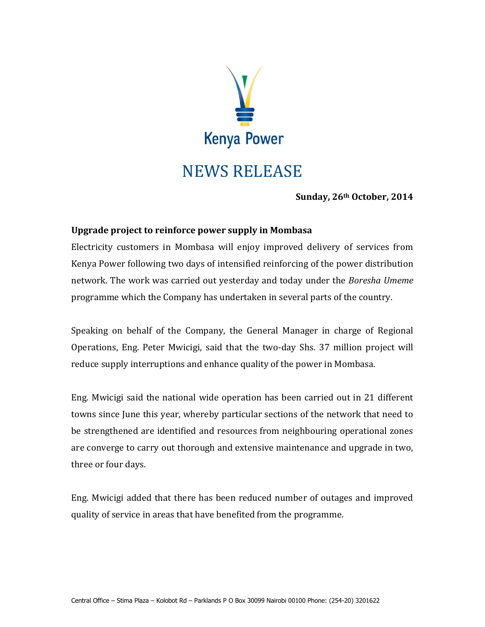

## NEWS RELEASE

**Sunday, 26th October, 2014**

## **Upgrade project to reinforce power supply in Mombasa**

Electricity customers in Mombasa will enjoy improved delivery of services from Kenya Power following two days of intensified reinforcing of the power distribution network. The work was carried out yesterday and today under the *Boresha Umeme* programme which the Company has undertaken in several parts of the country.

Speaking on behalf of the Company, the General Manager in charge of Regional Operations, Eng. Peter Mwicigi, said that the two-day Shs. 37 million project will reduce supply interruptions and enhance quality of the power in Mombasa.

Eng. Mwicigi said the national wide operation has been carried out in 21 different towns since June this year, whereby particular sections of the network that need to be strengthened are identified and resources from neighbouring operational zones are converge to carry out thorough and extensive maintenance and upgrade in two, three or four days.

Eng. Mwicigi added that there has been reduced number of outages and improved quality of service in areas that have benefited from the programme.